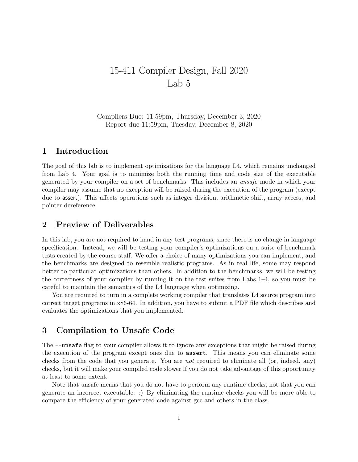# 15-411 Compiler Design, Fall 2020 Lab 5

Compilers Due: 11:59pm, Thursday, December 3, 2020 Report due 11:59pm, Tuesday, December 8, 2020

# 1 Introduction

The goal of this lab is to implement optimizations for the language L4, which remains unchanged from Lab 4. Your goal is to minimize both the running time and code size of the executable generated by your compiler on a set of benchmarks. This includes an unsafe mode in which your compiler may assume that no exception will be raised during the execution of the program (except due to assert). This affects operations such as integer division, arithmetic shift, array access, and pointer dereference.

# 2 Preview of Deliverables

In this lab, you are not required to hand in any test programs, since there is no change in language specification. Instead, we will be testing your compiler's optimizations on a suite of benchmark tests created by the course staff. We offer a choice of many optimizations you can implement, and the benchmarks are designed to resemble realistic programs. As in real life, some may respond better to particular optimizations than others. In addition to the benchmarks, we will be testing the correctness of your compiler by running it on the test suites from Labs 1–4, so you must be careful to maintain the semantics of the L4 language when optimizing.

You are required to turn in a complete working compiler that translates L4 source program into correct target programs in x86-64. In addition, you have to submit a PDF file which describes and evaluates the optimizations that you implemented.

# 3 Compilation to Unsafe Code

The --unsafe flag to your compiler allows it to ignore any exceptions that might be raised during the execution of the program except ones due to assert. This means you can eliminate some checks from the code that you generate. You are not required to eliminate all (or, indeed, any) checks, but it will make your compiled code slower if you do not take advantage of this opportunity at least to some extent.

Note that unsafe means that you do not have to perform any runtime checks, not that you can generate an incorrect executable. :) By eliminating the runtime checks you will be more able to compare the efficiency of your generated code against gcc and others in the class.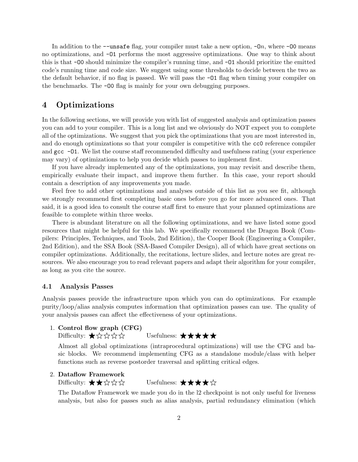In addition to the  $-\text{unsafe flag}$ , your compiler must take a new option,  $-Dn$ , where  $-D0$  means no optimizations, and -O1 performs the most aggressive optimizations. One way to think about this is that -O0 should minimize the compiler's running time, and -O1 should prioritize the emitted code's running time and code size. We suggest using some thresholds to decide between the two as the default behavior, if no flag is passed. We will pass the -O1 flag when timing your compiler on the benchmarks. The -O0 flag is mainly for your own debugging purposes.

# 4 Optimizations

In the following sections, we will provide you with list of suggested analysis and optimization passes you can add to your compiler. This is a long list and we obviously do NOT expect you to complete all of the optimizations. We suggest that you pick the optimizations that you are most interested in, and do enough optimizations so that your compiler is competitive with the cc0 reference compiler and  $\gcd$  -01. We list the course staff recommended difficulty and usefulness rating (your experience may vary) of optimizations to help you decide which passes to implement first.

If you have already implemented any of the optimizations, you may revisit and describe them, empirically evaluate their impact, and improve them further. In this case, your report should contain a description of any improvements you made.

Feel free to add other optimizations and analyses outside of this list as you see fit, although we strongly recommend first completing basic ones before you go for more advanced ones. That said, it is a good idea to consult the course staff first to ensure that your planned optimizations are feasible to complete within three weeks.

There is abundant literature on all the following optimizations, and we have listed some good resources that might be helpful for this lab. We specifically recommend the Dragon Book (Compilers: Principles, Techniques, and Tools, 2nd Edition), the Cooper Book (Engineering a Compiler, 2nd Edition), and the SSA Book (SSA-Based Compiler Design), all of which have great sections on compiler optimizations. Additionally, the recitations, lecture slides, and lecture notes are great resources. We also encourage you to read relevant papers and adapt their algorithm for your compiler, as long as you cite the source.

### 4.1 Analysis Passes

Analysis passes provide the infrastructure upon which you can do optimizations. For example purity/loop/alias analysis computes information that optimization passes can use. The quality of your analysis passes can affect the effectiveness of your optimizations.

# 1. Control flow graph (CFG)

Difficulty:  $\bigstar \, \hat{\mathbb{X}} \, \hat{\mathbb{X}} \, \hat{\mathbb{X}}$   $\uparrow$  Usefulness:  $\bigstar \, \bigstar \, \bigstar \, \bigstar$ 

Almost all global optimizations (intraprocedural optimizations) will use the CFG and basic blocks. We recommend implementing CFG as a standalone module/class with helper functions such as reverse postorder traversal and splitting critical edges.

### 2. Dataflow Framework

Difficulty:  $\star \star \land \lor \lor \lor$  Usefulness:  $\star \star \star \land \lor$ 

The Dataflow Framework we made you do in the l2 checkpoint is not only useful for liveness analysis, but also for passes such as alias analysis, partial redundancy elimination (which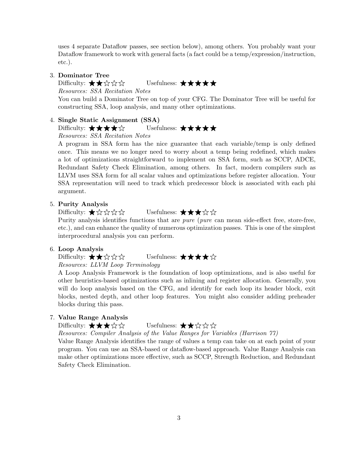uses 4 separate Dataflow passes, see section below), among others. You probably want your Dataflow framework to work with general facts (a fact could be a temp/expression/instruction, etc.).

#### 3. Dominator Tree

Difficulty:  $\bigstar \star \star \hat{\mathbb{Q}}$   $\uparrow \mathbb{Q}$   $\uparrow \mathbb{Q}$  Usefulness:  $\bigstar \star \star \star \star$ 

Resources: SSA Recitation Notes

You can build a Dominator Tree on top of your CFG. The Dominator Tree will be useful for constructing SSA, loop analysis, and many other optimizations.

### 4. Single Static Assignment (SSA)

Difficulty: ★★★★☆ Usefulness: ★★★★★

Resources: SSA Recitation Notes

A program in SSA form has the nice guarantee that each variable/temp is only defined once. This means we no longer need to worry about a temp being redefined, which makes a lot of optimizations straightforward to implement on SSA form, such as SCCP, ADCE, Redundant Safety Check Elimination, among others. In fact, modern compilers such as LLVM uses SSA form for all scalar values and optimizations before register allocation. Your SSA representation will need to track which predecessor block is associated with each phi argument.

### 5. Purity Analysis

Difficulty:  $\bigstar \Diamond \Diamond \Diamond \Diamond$  Usefulness:  $\bigstar \star \Diamond \Diamond$ 

Purity analysis identifies functions that are *pure* (*pure* can mean side-effect free, store-free, etc.), and can enhance the quality of numerous optimization passes. This is one of the simplest interprocedural analysis you can perform.

### 6. Loop Analysis

Difficulty: ★★☆☆☆ Usefulness: ★★★★☆ Resources: LLVM Loop Terminology

A Loop Analysis Framework is the foundation of loop optimizations, and is also useful for other heuristics-based optimizations such as inlining and register allocation. Generally, you will do loop analysis based on the CFG, and identify for each loop its header block, exit blocks, nested depth, and other loop features. You might also consider adding preheader blocks during this pass.

# 7. Value Range Analysis

Difficulty:  $\star \star \star \diamondsuit$  Usefulness:  $\star \star \diamondsuit \diamondsuit$ 

Resources: Compiler Analysis of the Value Ranges for Variables (Harrison 77)

Value Range Analysis identifies the range of values a temp can take on at each point of your program. You can use an SSA-based or dataflow-based approach. Value Range Analysis can make other optimizations more effective, such as SCCP, Strength Reduction, and Redundant Safety Check Elimination.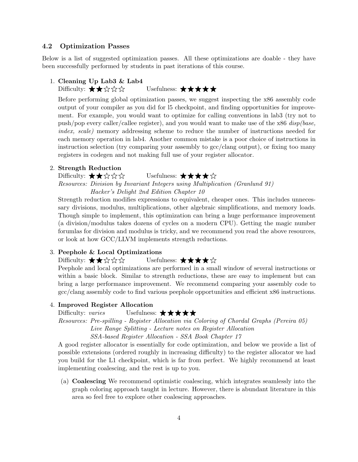### 4.2 Optimization Passes

Below is a list of suggested optimization passes. All these optimizations are doable - they have been successfully performed by students in past iterations of this course.

### 1. Cleaning Up Lab3 & Lab4

Difficulty:  $\star \star \lozenge \star \lozenge$   $\star$  Usefulness:  $\star \star \star \star \star$ 

Before performing global optimization passes, we suggest inspecting the x86 assembly code output of your compiler as you did for l5 checkpoint, and finding opportunities for improvement. For example, you would want to optimize for calling conventions in lab3 (try not to push/pop every caller/callee register), and you would want to make use of the  $x86$  disp(base, index, scale) memory addressing scheme to reduce the number of instructions needed for each memory operation in lab4. Another common mistake is a poor choice of instructions in instruction selection (try comparing your assembly to gcc/clang output), or fixing too many registers in codegen and not making full use of your register allocator.

### 2. Strength Reduction

Difficulty:  $\bigstar \star \star \star \star$  Usefulness:  $\bigstar \star \star \star \star$ 

Resources: Division by Invariant Integers using Multiplication (Granlund 91) Hacker's Delight 2nd Edition Chapter 10

Strength reduction modifies expressions to equivalent, cheaper ones. This includes unnecessary divisions, modulus, multiplications, other algebraic simplifications, and memory loads. Though simple to implement, this optimization can bring a huge performance improvement (a division/modulus takes dozens of cycles on a modern CPU). Getting the magic number forumlas for division and modulus is tricky, and we recommend you read the above resources, or look at how GCC/LLVM implements strength reductions.

#### 3. Peephole & Local Optimizations

# Difficulty:  $\star \star \diamondsuit$   $\diamondsuit$   $\star$  Usefulness:  $\star \star \star \diamondsuit$

Peephole and local optimizations are performed in a small window of several instructions or within a basic block. Similar to strength reductions, these are easy to implement but can bring a large performance improvement. We recommend comparing your assembly code to gcc/clang assembly code to find various peephole opportunities and efficient x86 instructions.

#### 4. Improved Register Allocation

Difficulty: varies Usefulness:  $\star \star \star \star \star$ 

Resources: Pre-spilling - Register Allocation via Coloring of Chordal Graphs (Pereira 05) Live Range Splitting - Lecture notes on Register Allocation

SSA-based Register Allocation - SSA Book Chapter 17

A good register allocator is essentially for code optimization, and below we provide a list of possible extensions (ordered roughly in increasing difficulty) to the register allocator we had you build for the L1 checkpoint, which is far from perfect. We highly recommend at least implementing coalescing, and the rest is up to you.

(a) Coalescing We recommend optimistic coalescing, which integrates seamlessly into the graph coloring approach taught in lecture. However, there is abundant literature in this area so feel free to explore other coalescing approaches.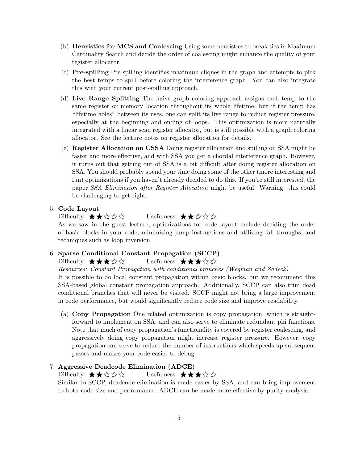- (b) Heuristics for MCS and Coalescing Using some heuristics to break ties in Maximum Cardinality Search and decide the order of coalescing might enhance the quality of your register allocator.
- (c) Pre-spilling Pre-spilling identifies maximum cliques in the graph and attempts to pick the best temps to spill before coloring the interference graph. You can also integrate this with your current post-spilling approach.
- (d) Live Range Splitting The naive graph coloring approach assigns each temp to the same register or memory location throughout its whole lifetime, but if the temp has "lifetime holes" between its uses, one can split its live range to reduce register pressure, especially at the beginning and ending of loops. This optimization is more naturally integrated with a linear scan register allocator, but is still possible with a graph coloring allocator. See the lecture notes on register allocation for details.
- (e) Register Allocation on CSSA Doing register allocation and spilling on SSA might be faster and more effective, and with SSA you get a chordal interference graph. However, it turns out that getting out of SSA is a bit difficult after doing register allocation on SSA. You should probably spend your time doing some of the other (more interesting and fun) optimizations if you haven't already decided to do this. If you're still interested, the paper SSA Elimination after Register Allocation might be useful. Warning: this could be challenging to get right.

### 5. Code Layout

Difficulty:  $\star \star \lozenge \star \uparrow$  Usefulness:  $\star \star \star \star \star$ 

As we saw in the guest lecture, optimizations for code layout include deciding the order of basic blocks in your code, minimizing jump instructions and utilizing fall throughs, and techniques such as loop inversion.

### 6. Sparse Conditional Constant Propagation (SCCP)

Difficulty:  $\star \star \star \circ \star$  Usefulness:  $\star \star \star \circ \star$ 

Resources: Constant Propagation with conditional branches (Wegman and Zadeck)

It is possible to do local constant propagation within basic blocks, but we recommend this SSA-based global constant propagation approach. Additionally, SCCP can also trim dead conditional branches that will never be visited. SCCP might not bring a large improvement in code performance, but would significantly reduce code size and improve readability.

(a) Copy Propagation One related optimization is copy propagation, which is straightforward to implement on SSA, and can also serve to eliminate redundant phi functions. Note that much of copy propagation's functionality is covered by register coalescing, and aggressively doing copy propagation might increase register pressure. However, copy propagation can serve to reduce the number of instructions which speeds up subsequent passes and makes your code easier to debug.

### 7. Aggressive Deadcode Elimination (ADCE)

Difficulty:  $\star \star \lozenge \star \star$  Usefulness:  $\star \star \star \star \star$ 

Similar to SCCP, deadcode elimination is made easier by SSA, and can bring improvement to both code size and performance. ADCE can be made more effective by purity analysis.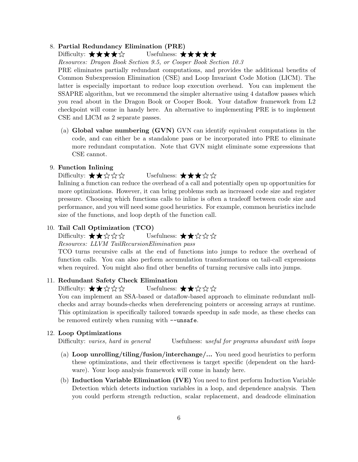### 8. Partial Redundancy Elimination (PRE)

# Difficulty: ★★★★☆ Usefulness: ★★★★★

Resources: Dragon Book Section 9.5, or Cooper Book Section 10.3

PRE eliminates partially redundant computations, and provides the additional benefits of Common Subexpression Elimination (CSE) and Loop Invariant Code Motion (LICM). The latter is especially important to reduce loop execution overhead. You can implement the SSAPRE algorithm, but we recommend the simpler alternative using 4 dataflow passes which you read about in the Dragon Book or Cooper Book. Your dataflow framework from L2 checkpoint will come in handy here. An alternative to implementing PRE is to implement CSE and LICM as 2 separate passes.

(a) Global value numbering (GVN) GVN can identify equivalent computations in the code, and can either be a standalone pass or be incorporated into PRE to eliminate more redundant computation. Note that GVN might eliminate some expressions that CSE cannot.

### 9. Function Inlining

# Difficulty:  $\bigstar \bigstar \Diamond \Diamond \Diamond$  Usefulness:  $\bigstar \bigstar \Diamond \Diamond$

Inlining a function can reduce the overhead of a call and potentially open up opportunities for more optimizations. However, it can bring problems such as increased code size and register pressure. Choosing which functions calls to inline is often a tradeoff between code size and performance, and you will need some good heuristics. For example, common heuristics include size of the functions, and loop depth of the function call.

### 10. Tail Call Optimization (TCO)

# Difficulty:  $\bigstar \star \mathop{\&} \mathop{\leftrightarrow}^{\bullet}$   $\mathop{\leftrightarrow}^{\bullet}$  Usefulness:  $\bigstar \star \mathop{\leftrightarrow}^{\bullet}$   $\mathop{\leftrightarrow}^{\bullet}$   $\mathop{\leftrightarrow}^{\bullet}$

### Resources: LLVM TailRecursionElimination pass

TCO turns recursive calls at the end of functions into jumps to reduce the overhead of function calls. You can also perform accumulation transformations on tail-call expressions when required. You might also find other benefits of turning recursive calls into jumps.

#### 11. Redundant Safety Check Elimination

# Difficulty:  $\star \star \diamondsuit \otimes \diamondsuit$  Usefulness:  $\star \star \diamondsuit \otimes \diamondsuit$

You can implement an SSA-based or dataflow-based approach to eliminate redundant nullchecks and array bounds-checks when dereferencing pointers or accessing arrays at runtime. This optimization is specifically tailored towards speedup in safe mode, as these checks can be removed entirely when running with  $--$ unsafe.

#### 12. Loop Optimizations

Difficulty: varies, hard in general Usefulness: useful for programs abundant with loops

- (a) Loop unrolling/tiling/fusion/interchange/... You need good heuristics to perform these optimizations, and their effectiveness is target specific (dependent on the hardware). Your loop analysis framework will come in handy here.
- (b) Induction Variable Elimination (IVE) You need to first perform Induction Variable Detection which detects induction variables in a loop, and dependence analysis. Then you could perform strength reduction, scalar replacement, and deadcode elimination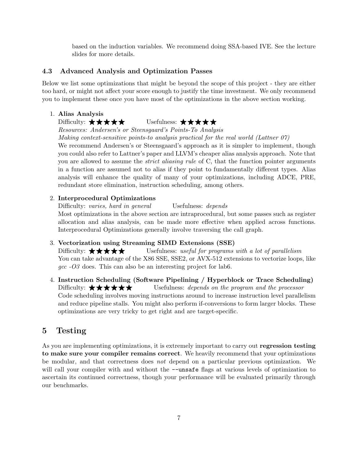based on the induction variables. We recommend doing SSA-based IVE. See the lecture slides for more details.

# 4.3 Advanced Analysis and Optimization Passes

Below we list some optimizations that might be beyond the scope of this project - they are either too hard, or might not affect your score enough to justify the time investment. We only recommend you to implement these once you have most of the optimizations in the above section working.

1. Alias Analysis

# Difficulty: ★★★★★★ Usefulness: ★★★★★

Resources: Andersen's or Steensgaard's Points-To Analysis Making context-sensitive points-to analysis practical for the real world (Lattner 07)

We recommend Andersen's or Steensgaard's approach as it is simpler to implement, though you could also refer to Lattner's paper and LLVM's cheaper alias analysis approach. Note that you are allowed to assume the *strict aliasing rule* of C, that the function pointer arguments in a function are assumed not to alias if they point to fundamentally different types. Alias analysis will enhance the quality of many of your optimizations, including ADCE, PRE, redundant store elimination, instruction scheduling, among others.

# 2. Interprocedural Optimizations

Difficulty: varies, hard in general Usefulness: depends Most optimizations in the above section are intraprocedural, but some passes such as register allocation and alias analysis, can be made more effective when applied across functions. Interprocedural Optimizations generally involve traversing the call graph.

### 3. Vectorization using Streaming SIMD Extensions (SSE)

Difficulty:  $\star \star \star \star$  Usefulness: useful for programs with a lot of parallelism You can take advantage of the X86 SSE, SSE2, or AVX-512 extensions to vectorize loops, like  $\eta$   $\alpha$  -O<sub>3</sub> does. This can also be an interesting project for lab<sub>6</sub>.

4. Instruction Scheduling (Software Pipelining / Hyperblock or Trace Scheduling) Difficulty:  $\star \star \star \star \star$  Usefulness: depends on the program and the processor Code scheduling involves moving instructions around to increase instruction level parallelism and reduce pipeline stalls. You might also perform if-conversions to form larger blocks. These optimizations are very tricky to get right and are target-specific.

# 5 Testing

As you are implementing optimizations, it is extremely important to carry out regression testing to make sure your compiler remains correct. We heavily recommend that your optimizations be modular, and that correctness does not depend on a particular previous optimization. We will call your compiler with and without the  $\nu$ -unsafe flags at various levels of optimization to ascertain its continued correctness, though your performance will be evaluated primarily through our benchmarks.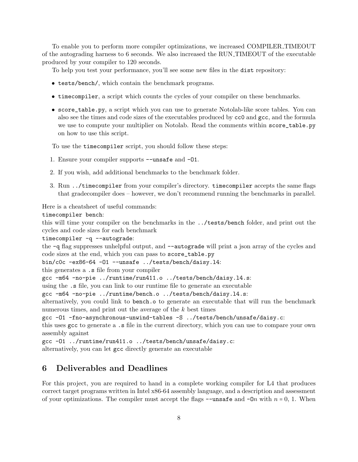To enable you to perform more compiler optimizations, we increased COMPILER TIMEOUT of the autograding harness to 6 seconds. We also increased the RUN TIMEOUT of the executable produced by your compiler to 120 seconds.

To help you test your performance, you'll see some new files in the dist repository:

- tests/bench/, which contain the benchmark programs.
- timecompiler, a script which counts the cycles of your compiler on these benchmarks.
- score\_table.py, a script which you can use to generate Notolab-like score tables. You can also see the times and code sizes of the executables produced by cc0 and gcc, and the formula we use to compute your multiplier on Notolab. Read the comments within score\_table.py on how to use this script.

To use the timecompiler script, you should follow these steps:

- 1. Ensure your compiler supports --unsafe and -O1.
- 2. If you wish, add additional benchmarks to the benchmark folder.
- 3. Run ../timecompiler from your compiler's directory. timecompiler accepts the same flags that gradecompiler does – however, we don't recommend running the benchmarks in parallel.

Here is a cheatsheet of useful commands:

### timecompiler bench:

this will time your compiler on the benchmarks in the ../tests/bench folder, and print out the cycles and code sizes for each benchmark

timecompiler -q --autograde:

the -q flag suppresses unhelpful output, and --autograde will print a json array of the cycles and code sizes at the end, which you can pass to score\_table.py

```
bin/c0c -ex86-64 -O1 --unsafe ../tests/bench/daisy.l4:
```
this generates a .s file from your compiler

gcc -m64 -no-pie ../runtime/run411.o ../tests/bench/daisy.l4.s:

using the .s file, you can link to our runtime file to generate an executable

gcc -m64 -no-pie ../runtime/bench.o ../tests/bench/daisy.l4.s:

alternatively, you could link to bench.o to generate an executable that will run the benchmark numerous times, and print out the average of the k best times

gcc -O1 -fno-asynchronous-unwind-tables -S ../tests/bench/unsafe/daisy.c:

this uses gcc to generate a .s file in the current directory, which you can use to compare your own assembly against

gcc -O1 ../runtime/run411.o ../tests/bench/unsafe/daisy.c:

alternatively, you can let gcc directly generate an executable

# 6 Deliverables and Deadlines

For this project, you are required to hand in a complete working compiler for L4 that produces correct target programs written in Intel x86-64 assembly language, and a description and assessment of your optimizations. The compiler must accept the flags  $-\text{unsafe}$  and  $-\text{On}$  with  $n = 0, 1$ . When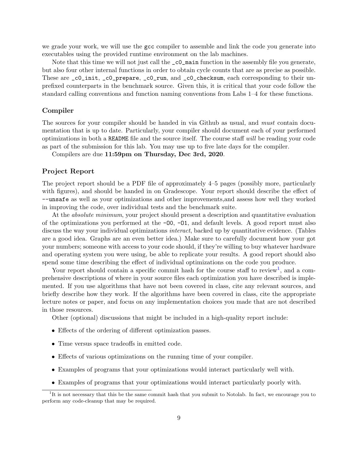we grade your work, we will use the gcc compiler to assemble and link the code you generate into executables using the provided runtime environment on the lab machines.

Note that this time we will not just call the  $\text{\_co\_main}$  function in the assembly file you generate, but also four other internal functions in order to obtain cycle counts that are as precise as possible. These are  $\text{\_c0\_init, \_c0\_prepare, \_c0\_run, and \_c0\_checksum, each corresponding to their un$ prefixed counterparts in the benchmark source. Given this, it is critical that your code follow the standard calling conventions and function naming conventions from Labs 1–4 for these functions.

### Compiler

The sources for your compiler should be handed in via Github as usual, and *must* contain documentation that is up to date. Particularly, your compiler should document each of your performed optimizations in both a README file and the source itself. The course staff will be reading your code as part of the submission for this lab. You may use up to five late days for the compiler.

Compilers are due 11:59pm on Thursday, Dec 3rd, 2020.

#### Project Report

The project report should be a PDF file of approximately 4–5 pages (possibly more, particularly with figures), and should be handed in on Gradescope. Your report should describe the effect of --unsafe as well as your optimizations and other improvements,and assess how well they worked in improving the code, over individual tests and the benchmark suite.

At the *absolute minimum*, your project should present a description and quantitative evaluation of the optimizations you performed at the  $-00$ ,  $-01$ , and default levels. A good report must also discuss the way your individual optimizations *interact*, backed up by quantitative evidence. (Tables are a good idea. Graphs are an even better idea.) Make sure to carefully document how your got your numbers; someone with access to your code should, if they're willing to buy whatever hardware and operating system you were using, be able to replicate your results. A good report should also spend some time describing the effect of individual optimizations on the code you produce.

Your report should contain a specific commit hash for the course staff to review<sup>[1](#page-8-0)</sup>, and a comprehensive descriptions of where in your source files each optimization you have described is implemented. If you use algorithms that have not been covered in class, cite any relevant sources, and briefly describe how they work. If the algorithms have been covered in class, cite the appropriate lecture notes or paper, and focus on any implementation choices you made that are not described in those resources.

Other (optional) discussions that might be included in a high-quality report include:

- Effects of the ordering of different optimization passes.
- Time versus space tradeoffs in emitted code.
- Effects of various optimizations on the running time of your compiler.
- Examples of programs that your optimizations would interact particularly well with.
- <span id="page-8-0"></span>• Examples of programs that your optimizations would interact particularly poorly with.

<sup>&</sup>lt;sup>1</sup>It is not necessary that this be the same commit hash that you submit to Notolab. In fact, we encourage you to perform any code-cleanup that may be required.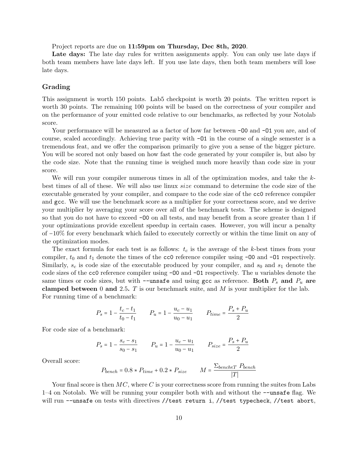Project reports are due on 11:59pm on Thursday, Dec 8th, 2020.

Late days: The late day rules for written assignments apply. You can only use late days if both team members have late days left. If you use late days, then both team members will lose late days.

### Grading

This assignment is worth 150 points. Lab5 checkpoint is worth 20 points. The written report is worth 30 points. The remaining 100 points will be based on the correctness of your compiler and on the performance of your emitted code relative to our benchmarks, as reflected by your Notolab score.

Your performance will be measured as a factor of how far between  $-00$  and  $-01$  you are, and of course, scaled accordingly. Achieving true parity with -O1 in the course of a single semester is a tremendous feat, and we offer the comparison primarily to give you a sense of the bigger picture. You will be scored not only based on how fast the code generated by your compiler is, but also by the code size. Note that the running time is weighed much more heavily than code size in your score.

We will run your compiler numerous times in all of the optimization modes, and take the kbest times of all of these. We will also use linux size command to determine the code size of the executable generated by your compiler, and compare to the code size of the cc0 reference compiler and gcc. We will use the benchmark score as a multiplier for your correctness score, and we derive your multiplier by averaging your score over all of the benchmark tests. The scheme is designed so that you do not have to exceed  $-00$  on all tests, and may benefit from a score greater than 1 if your optimizations provide excellent speedup in certain cases. However, you will incur a penalty of −10% for every benchmark which failed to executely correctly or within the time limit on any of the optimization modes.

The exact formula for each test is as follows:  $t_c$  is the average of the k-best times from your compiler,  $t_0$  and  $t_1$  denote the times of the cc0 reference compiler using  $-00$  and  $-01$  respectively. Similarly,  $s_c$  is code size of the executable produced by your compiler, and  $s_0$  and  $s_1$  denote the code sizes of the cc0 reference compiler using  $-00$  and  $-01$  respectively. The u variables denote the same times or code sizes, but with  $-\text{unsafe}$  and using gcc as reference. Both  $P_s$  and  $P_u$  are clamped between 0 and 2.5.  $T$  is our benchmark suite, and  $M$  is your multiplier for the lab. For running time of a benchmark:

$$
P_s = 1 - \frac{t_c - t_1}{t_0 - t_1} \qquad P_u = 1 - \frac{u_c - u_1}{u_0 - u_1} \qquad P_{time} = \frac{P_s + P_u}{2}
$$

For code size of a benchmark:

$$
P_s = 1 - \frac{s_c - s_1}{s_0 - s_1} \qquad P_u = 1 - \frac{u_c - u_1}{u_0 - u_1} \qquad P_{size} = \frac{P_s + P_u}{2}
$$

Overall score:

$$
P_{bench} = 0.8 \times P_{time} + 0.2 \times P_{size} \qquad M = \frac{\sum_{bench \in T} P_{bench}}{|T|}
$$

Your final score is then  $MC$ , where C is your correctness score from running the suites from Labs 1–4 on Notolab. We will be running your compiler both with and without the --unsafe flag. We will run --unsafe on tests with directives //test return i, //test typecheck, //test abort,